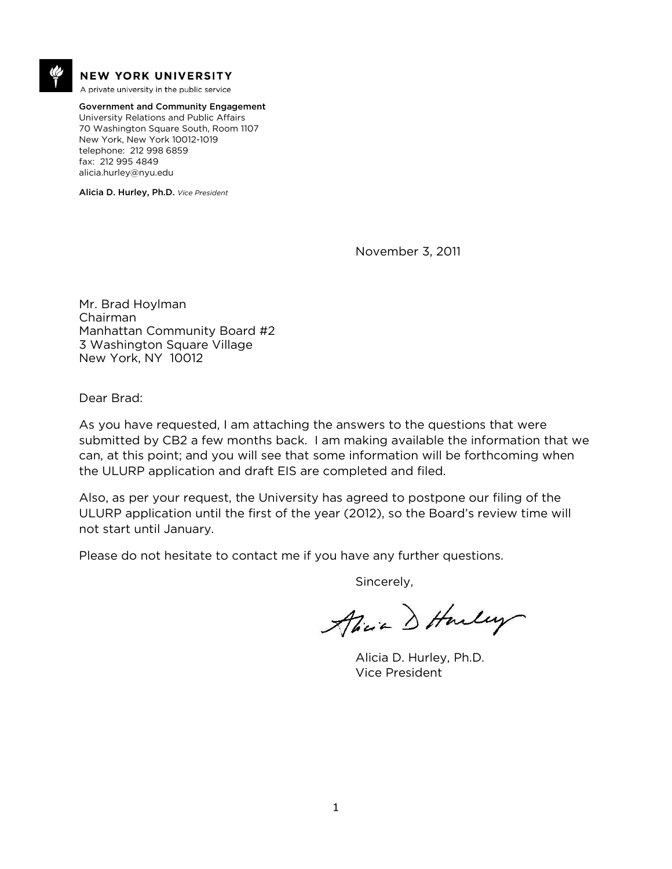

#### **NEW YORK UNIVERSITY**

A private university in the public service

Government and Community Engagement University Relations and Public Affairs 70 Washington Square South, Room 1107 New York, New York 10012-1019 telephone: 212 998 6859 fax: 212 995 4849 alicia.hurley@nyu.edu

Alicia D. Hurley, Ph.D. *Vice President*

November 3, 2011

Mr. Brad Hoylman Chairman Manhattan Community Board #2 3 Washington Square Village New York, NY 10012

Dear Brad:

As you have requested, I am attaching the answers to the questions that were submitted by CB2 a few months back. I am making available the information that we can, at this point; and you will see that some information will be forthcoming when the ULURP application and draft EIS are completed and filed.

Also, as per your request, the University has agreed to postpone our filing of the ULURP application until the first of the year (2012), so the Board's review time will not start until January.

Please do not hesitate to contact me if you have any further questions.

Sincerely,

Alice D Harley

Alicia D. Hurley, Ph.D. Vice President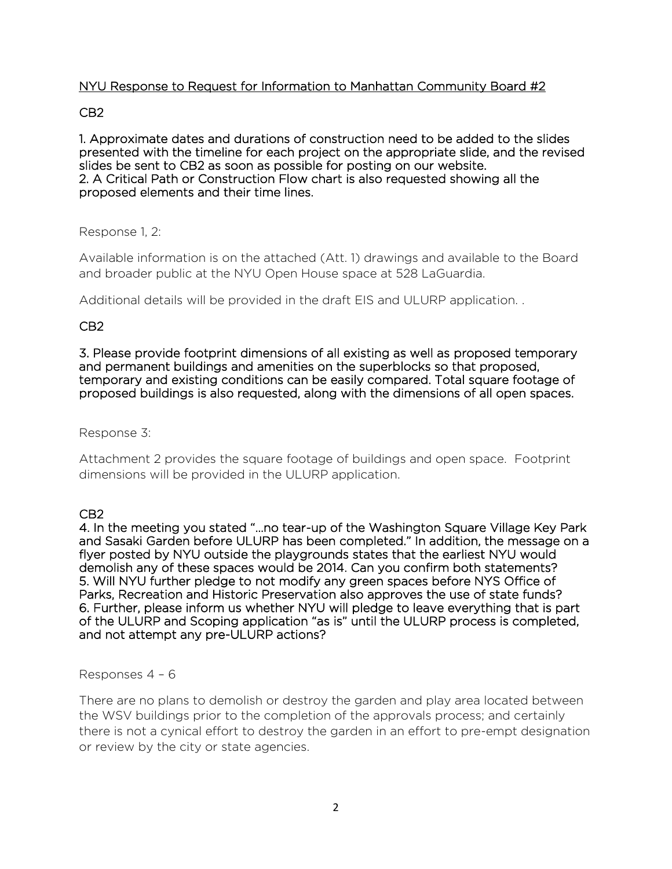## NYU Response to Request for Information to Manhattan Community Board #2

### CB2

1. Approximate dates and durations of construction need to be added to the slides presented with the timeline for each project on the appropriate slide, and the revised slides be sent to CB2 as soon as possible for posting on our website. 2. A Critical Path or Construction Flow chart is also requested showing all the proposed elements and their time lines.

### Response 1, 2:

Available information is on the attached (Att. 1) drawings and available to the Board and broader public at the NYU Open House space at 528 LaGuardia.

Additional details will be provided in the draft EIS and ULURP application. .

## CB2

3. Please provide footprint dimensions of all existing as well as proposed temporary and permanent buildings and amenities on the superblocks so that proposed, temporary and existing conditions can be easily compared. Total square footage of proposed buildings is also requested, along with the dimensions of all open spaces.

Response 3:

Attachment 2 provides the square footage of buildings and open space. Footprint dimensions will be provided in the ULURP application.

### CB2

4. In the meeting you stated "…no tear-up of the Washington Square Village Key Park and Sasaki Garden before ULURP has been completed." In addition, the message on a flyer posted by NYU outside the playgrounds states that the earliest NYU would demolish any of these spaces would be 2014. Can you confirm both statements? 5. Will NYU further pledge to not modify any green spaces before NYS Office of Parks, Recreation and Historic Preservation also approves the use of state funds? 6. Further, please inform us whether NYU will pledge to leave everything that is part of the ULURP and Scoping application "as is" until the ULURP process is completed, and not attempt any pre-ULURP actions?

Responses 4 – 6

There are no plans to demolish or destroy the garden and play area located between the WSV buildings prior to the completion of the approvals process; and certainly there is not a cynical effort to destroy the garden in an effort to pre-empt designation or review by the city or state agencies.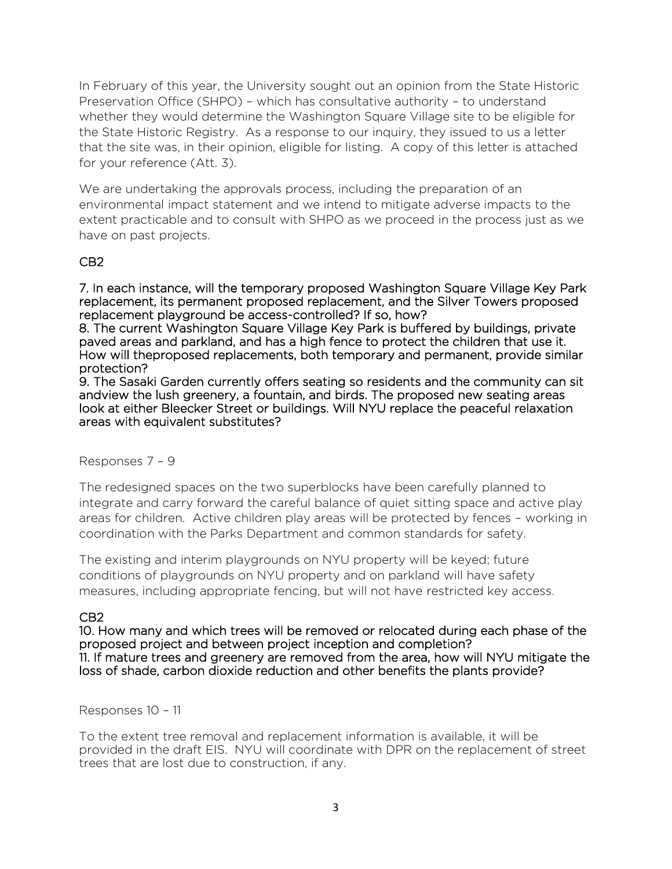In February of this year, the University sought out an opinion from the State Historic Preservation Office (SHPO) – which has consultative authority – to understand whether they would determine the Washington Square Village site to be eligible for the State Historic Registry. As a response to our inquiry, they issued to us a letter that the site was, in their opinion, eligible for listing. A copy of this letter is attached for your reference (Att. 3).

We are undertaking the approvals process, including the preparation of an environmental impact statement and we intend to mitigate adverse impacts to the extent practicable and to consult with SHPO as we proceed in the process just as we have on past projects.

## CB2

7. In each instance, will the temporary proposed Washington Square Village Key Park replacement, its permanent proposed replacement, and the Silver Towers proposed replacement playground be access-controlled? If so, how?

8. The current Washington Square Village Key Park is buffered by buildings, private paved areas and parkland, and has a high fence to protect the children that use it. How will theproposed replacements, both temporary and permanent, provide similar protection?

9. The Sasaki Garden currently offers seating so residents and the community can sit andview the lush greenery, a fountain, and birds. The proposed new seating areas look at either Bleecker Street or buildings. Will NYU replace the peaceful relaxation areas with equivalent substitutes?

#### Responses 7 – 9

The redesigned spaces on the two superblocks have been carefully planned to integrate and carry forward the careful balance of quiet sitting space and active play areas for children. Active children play areas will be protected by fences – working in coordination with the Parks Department and common standards for safety.

The existing and interim playgrounds on NYU property will be keyed; future conditions of playgrounds on NYU property and on parkland will have safety measures, including appropriate fencing, but will not have restricted key access.

### CB2

10. How many and which trees will be removed or relocated during each phase of the proposed project and between project inception and completion? 11. If mature trees and greenery are removed from the area, how will NYU mitigate the loss of shade, carbon dioxide reduction and other benefits the plants provide?

#### Responses 10 – 11

To the extent tree removal and replacement information is available, it will be provided in the draft EIS. NYU will coordinate with DPR on the replacement of street trees that are lost due to construction, if any.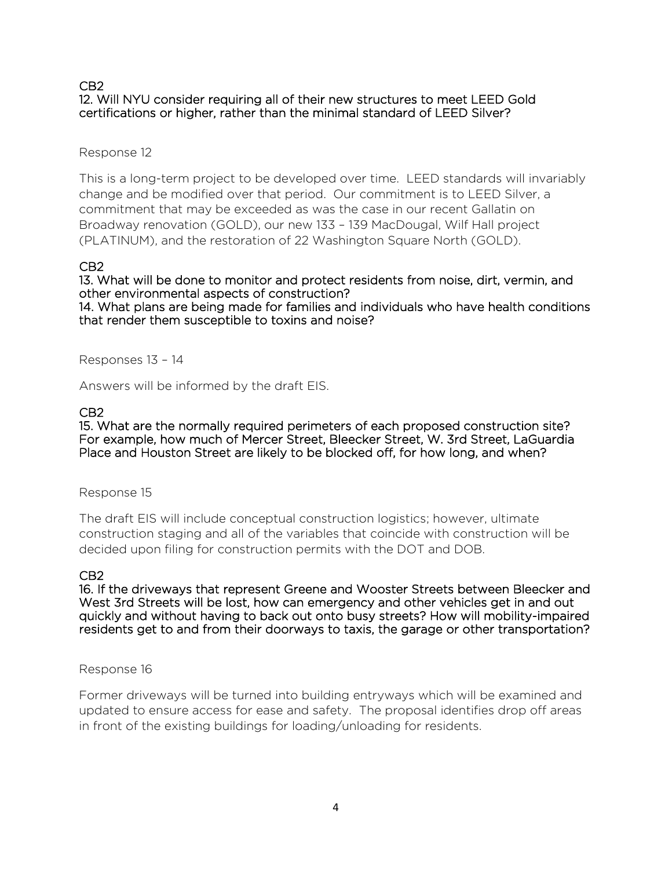### CB2 12. Will NYU consider requiring all of their new structures to meet LEED Gold certifications or higher, rather than the minimal standard of LEED Silver?

### Response 12

This is a long-term project to be developed over time. LEED standards will invariably change and be modified over that period. Our commitment is to LEED Silver, a commitment that may be exceeded as was the case in our recent Gallatin on Broadway renovation (GOLD), our new 133 – 139 MacDougal, Wilf Hall project (PLATINUM), and the restoration of 22 Washington Square North (GOLD).

### CB2

13. What will be done to monitor and protect residents from noise, dirt, vermin, and other environmental aspects of construction? 14. What plans are being made for families and individuals who have health conditions that render them susceptible to toxins and noise?

Responses 13 – 14

Answers will be informed by the draft EIS.

### CB2

15. What are the normally required perimeters of each proposed construction site? For example, how much of Mercer Street, Bleecker Street, W. 3rd Street, LaGuardia Place and Houston Street are likely to be blocked off, for how long, and when?

#### Response 15

The draft EIS will include conceptual construction logistics; however, ultimate construction staging and all of the variables that coincide with construction will be decided upon filing for construction permits with the DOT and DOB.

#### CB2

16. If the driveways that represent Greene and Wooster Streets between Bleecker and West 3rd Streets will be lost, how can emergency and other vehicles get in and out quickly and without having to back out onto busy streets? How will mobility-impaired residents get to and from their doorways to taxis, the garage or other transportation?

#### Response 16

Former driveways will be turned into building entryways which will be examined and updated to ensure access for ease and safety. The proposal identifies drop off areas in front of the existing buildings for loading/unloading for residents.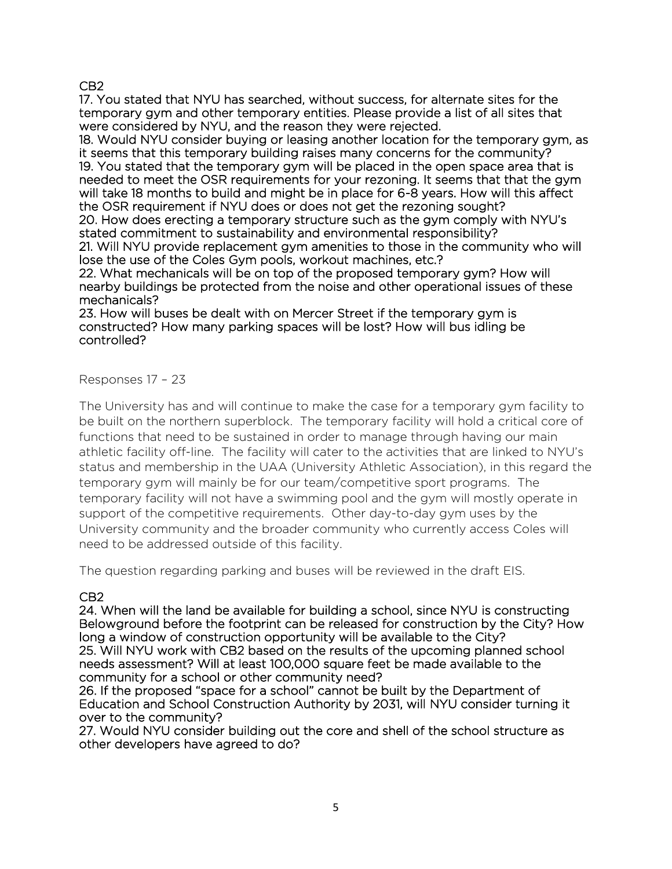## CB2

17. You stated that NYU has searched, without success, for alternate sites for the temporary gym and other temporary entities. Please provide a list of all sites that were considered by NYU, and the reason they were rejected.

18. Would NYU consider buying or leasing another location for the temporary gym, as it seems that this temporary building raises many concerns for the community? 19. You stated that the temporary gym will be placed in the open space area that is needed to meet the OSR requirements for your rezoning. It seems that that the gym will take 18 months to build and might be in place for 6-8 years. How will this affect the OSR requirement if NYU does or does not get the rezoning sought? 20. How does erecting a temporary structure such as the gym comply with NYU's

stated commitment to sustainability and environmental responsibility? 21. Will NYU provide replacement gym amenities to those in the community who will

lose the use of the Coles Gym pools, workout machines, etc.?

22. What mechanicals will be on top of the proposed temporary gym? How will nearby buildings be protected from the noise and other operational issues of these mechanicals?

23. How will buses be dealt with on Mercer Street if the temporary gym is constructed? How many parking spaces will be lost? How will bus idling be controlled?

# Responses 17 – 23

The University has and will continue to make the case for a temporary gym facility to be built on the northern superblock. The temporary facility will hold a critical core of functions that need to be sustained in order to manage through having our main athletic facility off-line. The facility will cater to the activities that are linked to NYU's status and membership in the UAA (University Athletic Association), in this regard the temporary gym will mainly be for our team/competitive sport programs. The temporary facility will not have a swimming pool and the gym will mostly operate in support of the competitive requirements. Other day-to-day gym uses by the University community and the broader community who currently access Coles will need to be addressed outside of this facility.

The question regarding parking and buses will be reviewed in the draft EIS.

# CB2

24. When will the land be available for building a school, since NYU is constructing Belowground before the footprint can be released for construction by the City? How long a window of construction opportunity will be available to the City? 25. Will NYU work with CB2 based on the results of the upcoming planned school needs assessment? Will at least 100,000 square feet be made available to the community for a school or other community need?

26. If the proposed "space for a school" cannot be built by the Department of Education and School Construction Authority by 2031, will NYU consider turning it over to the community?

27. Would NYU consider building out the core and shell of the school structure as other developers have agreed to do?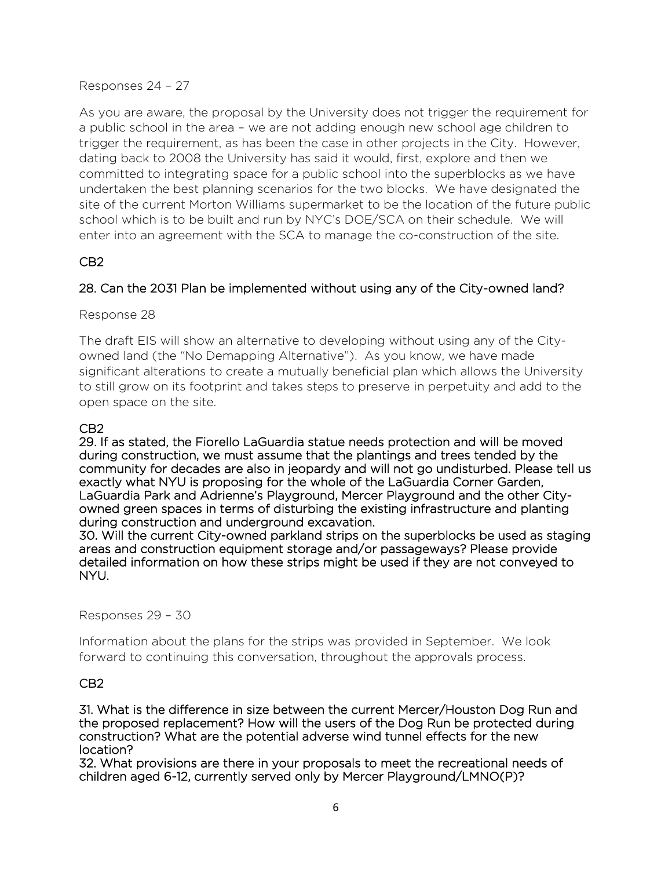Responses 24 – 27

As you are aware, the proposal by the University does not trigger the requirement for a public school in the area – we are not adding enough new school age children to trigger the requirement, as has been the case in other projects in the City. However, dating back to 2008 the University has said it would, first, explore and then we committed to integrating space for a public school into the superblocks as we have undertaken the best planning scenarios for the two blocks. We have designated the site of the current Morton Williams supermarket to be the location of the future public school which is to be built and run by NYC's DOE/SCA on their schedule. We will enter into an agreement with the SCA to manage the co-construction of the site.

# CB2

# 28. Can the 2031 Plan be implemented without using any of the City-owned land?

Response 28

The draft EIS will show an alternative to developing without using any of the Cityowned land (the "No Demapping Alternative"). As you know, we have made significant alterations to create a mutually beneficial plan which allows the University to still grow on its footprint and takes steps to preserve in perpetuity and add to the open space on the site.

# CB2

29. If as stated, the Fiorello LaGuardia statue needs protection and will be moved during construction, we must assume that the plantings and trees tended by the community for decades are also in jeopardy and will not go undisturbed. Please tell us exactly what NYU is proposing for the whole of the LaGuardia Corner Garden, LaGuardia Park and Adrienne's Playground, Mercer Playground and the other Cityowned green spaces in terms of disturbing the existing infrastructure and planting during construction and underground excavation.

30. Will the current City-owned parkland strips on the superblocks be used as staging areas and construction equipment storage and/or passageways? Please provide detailed information on how these strips might be used if they are not conveyed to NYU.

Responses 29 – 30

Information about the plans for the strips was provided in September. We look forward to continuing this conversation, throughout the approvals process.

### CB2

31. What is the difference in size between the current Mercer/Houston Dog Run and the proposed replacement? How will the users of the Dog Run be protected during construction? What are the potential adverse wind tunnel effects for the new location?

32. What provisions are there in your proposals to meet the recreational needs of children aged 6-12, currently served only by Mercer Playground/LMNO(P)?